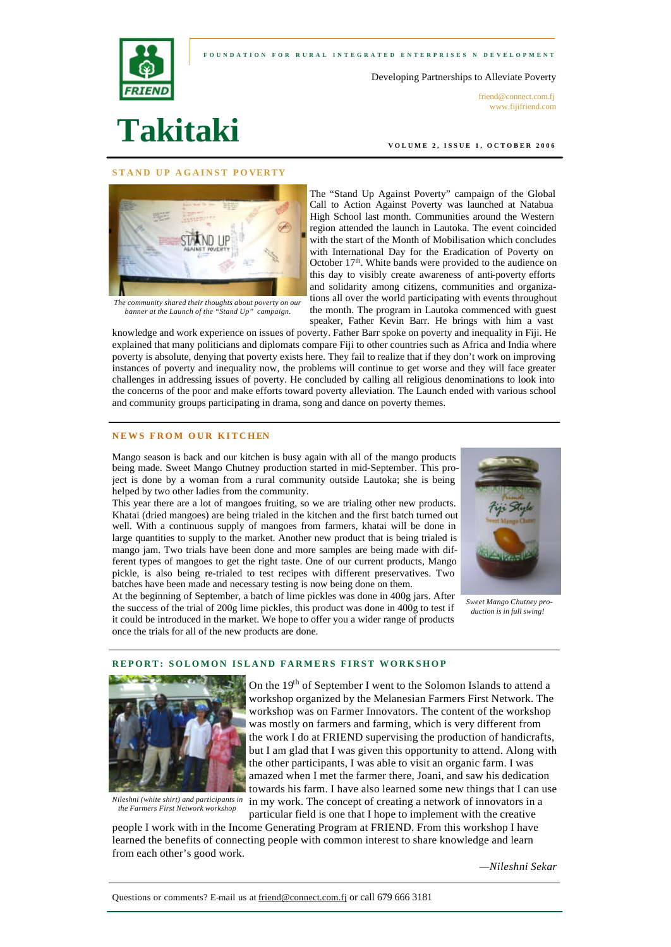



Developing Partnerships to Alleviate Poverty

friend@connect.com.fi www.fijifriend.com

# **Takitaki**

**VOLUME 2, ISSUE 1, OCTOBER 2006** 

#### **STAND UP AGAINST POVERTY**



*The community shared their thoughts about poverty on our banner at the Launch of the "Stand Up" campaign.*

The "Stand Up Against Poverty" campaign of the Global Call to Action Against Poverty was launched at Natabua High School last month. Communities around the Western region attended the launch in Lautoka. The event coincided with the start of the Month of Mobilisation which concludes with International Day for the Eradication of Poverty on October 17<sup>th</sup>. White bands were provided to the audience on this day to visibly create awareness of anti-poverty efforts and solidarity among citizens, communities and organizations all over the world participating with events throughout the month. The program in Lautoka commenced with guest speaker, Father Kevin Barr. He brings with him a vast

knowledge and work experience on issues of poverty. Father Barr spoke on poverty and inequality in Fiji. He explained that many politicians and diplomats compare Fiji to other countries such as Africa and India where poverty is absolute, denying that poverty exists here. They fail to realize that if they don't work on improving instances of poverty and inequality now, the problems will continue to get worse and they will face greater challenges in addressing issues of poverty. He concluded by calling all religious denominations to look into the concerns of the poor and make efforts toward poverty alleviation. The Launch ended with various school and community groups participating in drama, song and dance on poverty themes.

#### **NEWS FROM OUR KITCHEN**

Mango season is back and our kitchen is busy again with all of the mango products being made. Sweet Mango Chutney production started in mid-September. This project is done by a woman from a rural community outside Lautoka; she is being helped by two other ladies from the community.

This year there are a lot of mangoes fruiting, so we are trialing other new products. Khatai (dried mangoes) are being trialed in the kitchen and the first batch turned out well. With a continuous supply of mangoes from farmers, khatai will be done in large quantities to supply to the market. Another new product that is being trialed is mango jam. Two trials have been done and more samples are being made with different types of mangoes to get the right taste. One of our current products, Mango pickle, is also being re-trialed to test recipes with different preservatives. Two batches have been made and necessary testing is now being done on them.

At the beginning of September, a batch of lime pickles was done in 400g jars. After the success of the trial of 200g lime pickles, this product was done in 400g to test if it could be introduced in the market. We hope to offer you a wider range of products once the trials for all of the new products are done.



*Sweet Mango Chutney production is in full swing!*

#### **REPORT: SOLOMON ISLAND FARMERS FIRST WORKSHOP**



*Nileshni (white shirt) and participants in the Farmers First Network workshop*

On the 19<sup>th</sup> of September I went to the Solomon Islands to attend a workshop organized by the Melanesian Farmers First Network. The workshop was on Farmer Innovators. The content of the workshop was mostly on farmers and farming, which is very different from the work I do at FRIEND supervising the production of handicrafts, but I am glad that I was given this opportunity to attend. Along with the other participants, I was able to visit an organic farm. I was amazed when I met the farmer there, Joani, and saw his dedication towards his farm. I have also learned some new things that I can use in my work. The concept of creating a network of innovators in a particular field is one that I hope to implement with the creative

people I work with in the Income Generating Program at FRIEND. From this workshop I have learned the benefits of connecting people with common interest to share knowledge and learn from each other's good work.

*—Nileshni Sekar*